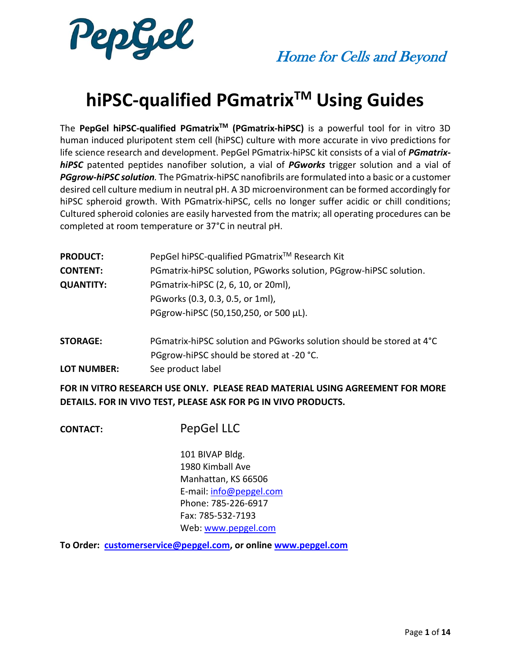

# **hiPSC-qualified PGmatrixTM Using Guides**

The **PepGel hiPSC-qualified PGmatrixTM (PGmatrix-hiPSC)** is a powerful tool for in vitro 3D human induced pluripotent stem cell (hiPSC) culture with more accurate in vivo predictions for life science research and development. PepGel PGmatrix-hiPSC kit consists of a vial of *PGmatrixhiPSC* patented peptides nanofiber solution, a vial of *PGworks* trigger solution and a vial of *PGgrow-hiPSC solution.* The PGmatrix-hiPSC nanofibrils are formulated into a basic or a customer desired cell culture medium in neutral pH. A 3D microenvironment can be formed accordingly for hiPSC spheroid growth. With PGmatrix-hiPSC, cells no longer suffer acidic or chill conditions; Cultured spheroid colonies are easily harvested from the matrix; all operating procedures can be completed at room temperature or 37°C in neutral pH.

| <b>PRODUCT:</b>  | PepGel hiPSC-qualified PGmatrix <sup>™</sup> Research Kit         |
|------------------|-------------------------------------------------------------------|
| <b>CONTENT:</b>  | PGmatrix-hiPSC solution, PGworks solution, PGgrow-hiPSC solution. |
| <b>QUANTITY:</b> | PGmatrix-hiPSC (2, 6, 10, or 20ml),                               |
|                  | PGworks (0.3, 0.3, 0.5, or 1ml),                                  |
|                  | PGgrow-hiPSC (50,150,250, or 500 µL).                             |
|                  |                                                                   |

**STORAGE:** PGmatrix-hiPSC solution and PGworks solution should be stored at 4°C PGgrow-hiPSC should be stored at -20 °C. **LOT NUMBER:** See product label

**FOR IN VITRO RESEARCH USE ONLY. PLEASE READ MATERIAL USING AGREEMENT FOR MORE DETAILS. FOR IN VIVO TEST, PLEASE ASK FOR PG IN VIVO PRODUCTS.**

**CONTACT:** PepGel LLC

101 BIVAP Bldg. 1980 Kimball Ave Manhattan, KS 66506 E-mail: [info@pepgel.com](mailto:info@pepgel.com) Phone: 785-226-6917 Fax: 785-532-7193 Web: [www.pepgel.com](http://www.pepgel.com/)

**To Order: [customerservice@pepgel.com,](mailto:customerservice@pepgel.com) or onlin[e www.pepgel.com](http://www.pepgel.com/)**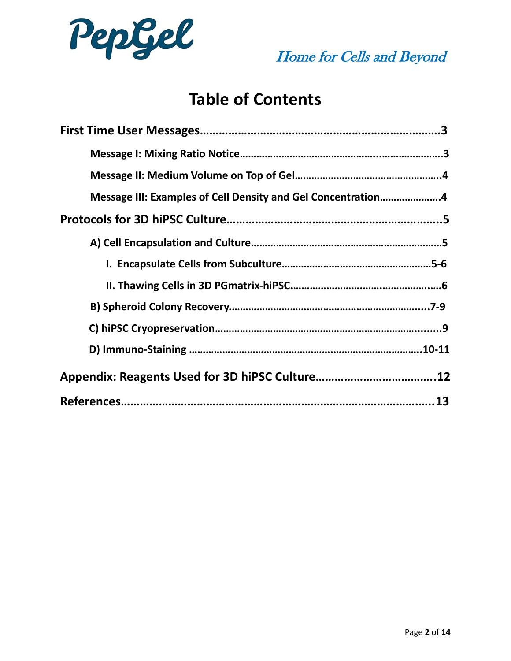

# **Table of Contents**

| Message III: Examples of Cell Density and Gel Concentration4 |
|--------------------------------------------------------------|
|                                                              |
|                                                              |
|                                                              |
|                                                              |
|                                                              |
|                                                              |
|                                                              |
|                                                              |
|                                                              |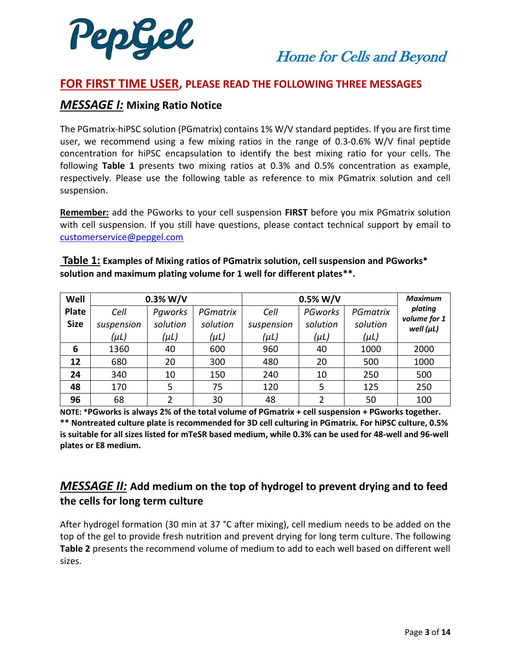

## **FOR FIRST TIME USER, PLEASE READ THE FOLLOWING THREE MESSAGES**

## *MESSAGE I:* **Mixing Ratio Notice**

The PGmatrix-hiPSC solution (PGmatrix) contains 1% W/V standard peptides. If you are first time user, we recommend using a few mixing ratios in the range of 0.3-0.6% W/V final peptide concentration for hiPSC encapsulation to identify the best mixing ratio for your cells. The following **Table 1** presents two mixing ratios at 0.3% and 0.5% concentration as example, respectively. Please use the following table as reference to mix PGmatrix solution and cell suspension.

**Remember:** add the PGworks to your cell suspension **FIRST** before you mix PGmatrix solution with cell suspension. If you still have questions, please contact technical support by email to [customerservice@pepgel.com](mailto:customerservice@pepgel.com)

| Well         | $0.3\%$ W/V |           |           | $0.5\%$ W/V | <b>Maximum</b> |           |                                |
|--------------|-------------|-----------|-----------|-------------|----------------|-----------|--------------------------------|
| <b>Plate</b> | Cell        | Paworks   | PGmatrix  | Cell        | PGworks        | PGmatrix  | plating                        |
| <b>Size</b>  | suspension  | solution  | solution  | suspension  | solution       | solution  | volume for 1<br>well $(\mu L)$ |
|              | $(\mu L)$   | $(\mu L)$ | $(\mu L)$ | $(\mu L)$   | $(\mu L)$      | $(\mu L)$ |                                |
| 6            | 1360        | 40        | 600       | 960         | 40             | 1000      | 2000                           |
| 12           | 680         | 20        | 300       | 480         | 20             | 500       | 1000                           |
| 24           | 340         | 10        | 150       | 240         | 10             | 250       | 500                            |
| 48           | 170         | 5         | 75        | 120         | 5              | 125       | 250                            |

**Table 1: Examples of Mixing ratios of PGmatrix solution, cell suspension and PGworks\* solution and maximum plating volume for 1 well for different plates\*\*.** 

**NOTE: \*PGworks is always 2% of the total volume of PGmatrix + cell suspension + PGworks together. \*\* Nontreated culture plate is recommended for 3D cell culturing in PGmatrix. For hiPSC culture, 0.5% is suitable for all sizes listed for mTeSR based medium, while 0.3% can be used for 48-well and 96-well plates or E8 medium.**

**96** | 68 | 2 | 30 | 48 | 2 | 50 | 100

## *MESSAGE II:* **Add medium on the top of hydrogel to prevent drying and to feed the cells for long term culture**

After hydrogel formation (30 min at 37 °C after mixing), cell medium needs to be added on the top of the gel to provide fresh nutrition and prevent drying for long term culture. The following **Table 2** presents the recommend volume of medium to add to each well based on different well sizes.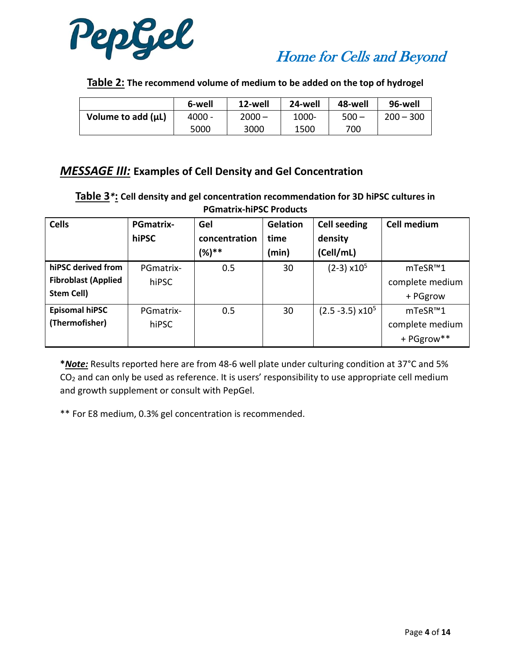



**Table 2: The recommend volume of medium to be added on the top of hydrogel**

|                    | 6-well   | 12-well  | 24-well | 48-well | 96-well     |
|--------------------|----------|----------|---------|---------|-------------|
| Volume to add (µL) | $4000 -$ | $2000 -$ | 1000-   | $500 -$ | $200 - 300$ |
|                    | 5000     | 3000     | 1500    | 700     |             |

## *MESSAGE III:* **Examples of Cell Density and Gel Concentration**

**Table 3***\****: Cell density and gel concentration recommendation for 3D hiPSC cultures in PGmatrix-hiPSC Products**

| <b>Cells</b>               | <b>PGmatrix-</b> | Gel           | <b>Gelation</b> | <b>Cell seeding</b>            | <b>Cell medium</b> |
|----------------------------|------------------|---------------|-----------------|--------------------------------|--------------------|
|                            | hiPSC            | concentration | time            | density                        |                    |
|                            |                  | $(%)**$       | (min)           | (Cell/mL)                      |                    |
| hiPSC derived from         | PGmatrix-        | 0.5           | 30              | $(2-3) \times 10^5$            | mTeSR™1            |
| <b>Fibroblast (Applied</b> | hiPSC            |               |                 |                                | complete medium    |
| <b>Stem Cell)</b>          |                  |               |                 |                                | + PGgrow           |
| <b>Episomal hiPSC</b>      | PGmatrix-        | 0.5           | 30              | $(2.5 - 3.5)$ x10 <sup>5</sup> | mTeSR™1            |
| (Thermofisher)             | hiPSC            |               |                 |                                | complete medium    |
|                            |                  |               |                 |                                | + PGgrow**         |

**\****Note:* Results reported here are from 48-6 well plate under culturing condition at 37°C and 5% CO<sup>2</sup> and can only be used as reference. It is users' responsibility to use appropriate cell medium and growth supplement or consult with PepGel.

\*\* For E8 medium, 0.3% gel concentration is recommended.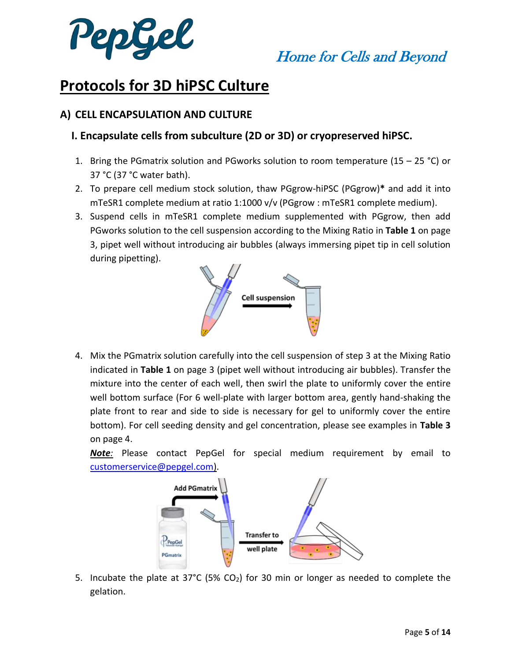

## **Protocols for 3D hiPSC Culture**

## **A) CELL ENCAPSULATION AND CULTURE**

## **I. Encapsulate cells from subculture (2D or 3D) or cryopreserved hiPSC.**

- 1. Bring the PGmatrix solution and PGworks solution to room temperature (15 25 °C) or 37 °C (37 °C water bath).
- 2. To prepare cell medium stock solution, thaw PGgrow-hiPSC (PGgrow)**\*** and add it into mTeSR1 complete medium at ratio 1:1000 v/v (PGgrow : mTeSR1 complete medium).
- 3. Suspend cells in mTeSR1 complete medium supplemented with PGgrow, then add PGworks solution to the cell suspension according to the Mixing Ratio in **Table 1** on page 3, pipet well without introducing air bubbles (always immersing pipet tip in cell solution during pipetting).



4. Mix the PGmatrix solution carefully into the cell suspension of step 3 at the Mixing Ratio indicated in **Table 1** on page 3 (pipet well without introducing air bubbles). Transfer the mixture into the center of each well, then swirl the plate to uniformly cover the entire well bottom surface (For 6 well-plate with larger bottom area, gently hand-shaking the plate front to rear and side to side is necessary for gel to uniformly cover the entire bottom). For cell seeding density and gel concentration, please see examples in **Table 3** on page 4.

*Note:* Please contact PepGel for special medium requirement by email to [customerservice@pepgel.com\)](mailto:customerservice@pepgel.com).



5. Incubate the plate at 37°C (5% CO<sub>2</sub>) for 30 min or longer as needed to complete the gelation.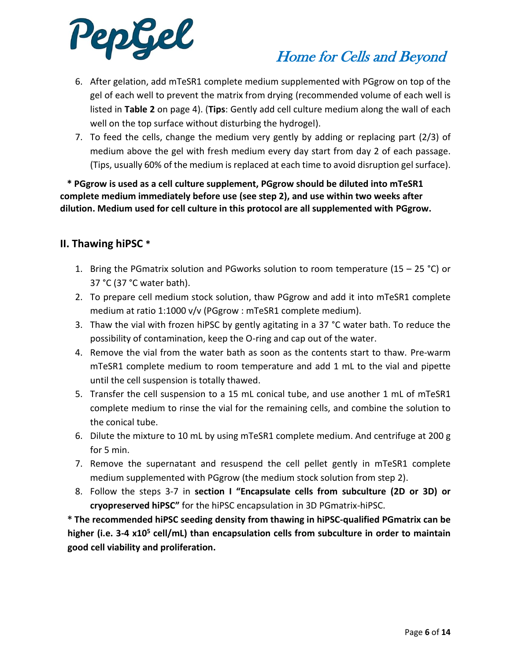

- 6. After gelation, add mTeSR1 complete medium supplemented with PGgrow on top of the gel of each well to prevent the matrix from drying (recommended volume of each well is listed in **Table 2** on page 4). (**Tips**: Gently add cell culture medium along the wall of each well on the top surface without disturbing the hydrogel).
- 7. To feed the cells, change the medium very gently by adding or replacing part (2/3) of medium above the gel with fresh medium every day start from day 2 of each passage. (Tips, usually 60% of the medium is replaced at each time to avoid disruption gel surface).

 **\* PGgrow is used as a cell culture supplement, PGgrow should be diluted into mTeSR1 complete medium immediately before use (see step 2), and use within two weeks after dilution. Medium used for cell culture in this protocol are all supplemented with PGgrow.**

## **II. Thawing hiPSC \***

- 1. Bring the PGmatrix solution and PGworks solution to room temperature (15 25 °C) or 37 °C (37 °C water bath).
- 2. To prepare cell medium stock solution, thaw PGgrow and add it into mTeSR1 complete medium at ratio 1:1000 v/v (PGgrow : mTeSR1 complete medium).
- 3. Thaw the vial with frozen hiPSC by gently agitating in a 37 °C water bath. To reduce the possibility of contamination, keep the O-ring and cap out of the water.
- 4. Remove the vial from the water bath as soon as the contents start to thaw. Pre-warm mTeSR1 complete medium to room temperature and add 1 mL to the vial and pipette until the cell suspension is totally thawed.
- 5. Transfer the cell suspension to a 15 mL conical tube, and use another 1 mL of mTeSR1 complete medium to rinse the vial for the remaining cells, and combine the solution to the conical tube.
- 6. Dilute the mixture to 10 mL by using mTeSR1 complete medium. And centrifuge at 200 g for 5 min.
- 7. Remove the supernatant and resuspend the cell pellet gently in mTeSR1 complete medium supplemented with PGgrow (the medium stock solution from step 2).
- 8. Follow the steps 3-7 in **section I "Encapsulate cells from subculture (2D or 3D) or cryopreserved hiPSC"** for the hiPSC encapsulation in 3D PGmatrix-hiPSC.

**\* The recommended hiPSC seeding density from thawing in hiPSC-qualified PGmatrix can be higher (i.e. 3-4 x10<sup>5</sup> cell/mL) than encapsulation cells from subculture in order to maintain good cell viability and proliferation.**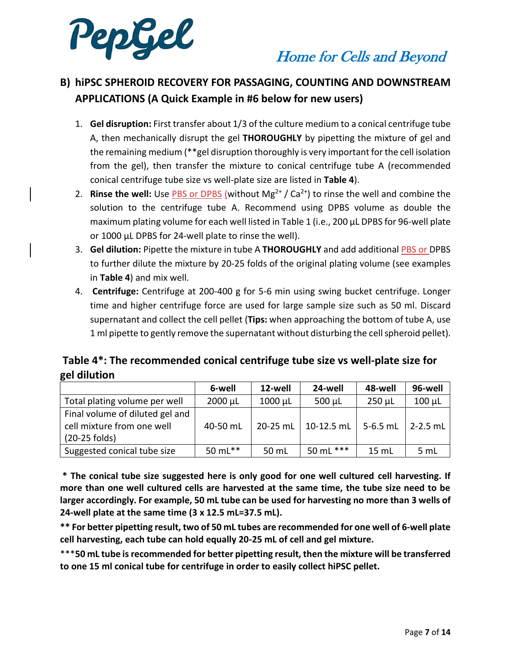

## **B) hiPSC SPHEROID RECOVERY FOR PASSAGING, COUNTING AND DOWNSTREAM APPLICATIONS (A Quick Example in #6 below for new users)**

- 1. **Gel disruption:** First transfer about 1/3 of the culture medium to a conical centrifuge tube A, then mechanically disrupt the gel **THOROUGHLY** by pipetting the mixture of gel and the remaining medium (\*\*gel disruption thoroughly is very important for the cell isolation from the gel), then transfer the mixture to conical centrifuge tube A (recommended conical centrifuge tube size vs well-plate size are listed in **Table 4**).
- 2. **Rinse the well:** Use PBS or DPBS (without  $Mg^{2+} / Ca^{2+}$ ) to rinse the well and combine the solution to the centrifuge tube A. Recommend using DPBS volume as double the maximum plating volume for each well listed in Table 1 (i.e., 200 µL DPBS for 96-well plate or 1000 µL DPBS for 24-well plate to rinse the well).
- 3. **Gel dilution:** Pipette the mixture in tube A **THOROUGHLY** and add additional PBS or DPBS to further dilute the mixture by 20-25 folds of the original plating volume (see examples in **Table 4**) and mix well.
- 4. **Centrifuge:** Centrifuge at 200-400 g for 5-6 min using swing bucket centrifuge. Longer time and higher centrifuge force are used for large sample size such as 50 ml. Discard supernatant and collect the cell pellet (**Tips:** when approaching the bottom of tube A, use 1 ml pipette to gently remove the supernatant without disturbing the cell spheroid pellet).

## **Table 4\*: The recommended conical centrifuge tube size vs well-plate size for gel dilution**

|                                                                                | 6-well       | 12-well      | 24-well     | 48-well     | 96-well         |
|--------------------------------------------------------------------------------|--------------|--------------|-------------|-------------|-----------------|
| Total plating volume per well                                                  | $2000 \mu L$ | $1000 \mu L$ | $500 \mu L$ | $250 \mu L$ | $100 \mu L$     |
| Final volume of diluted gel and<br>cell mixture from one well<br>(20-25 folds) | 40-50 mL     | 20-25 mL     | 10-12.5 mL  | $5-6.5$ mL  | $2 - 2.5$ mL    |
| Suggested conical tube size                                                    | 50 mL**      | 50 mL        | 50 mL ***   | 15 mL       | 5 <sub>mL</sub> |

**\* The conical tube size suggested here is only good for one well cultured cell harvesting. If more than one well cultured cells are harvested at the same time, the tube size need to be larger accordingly. For example, 50 mL tube can be used for harvesting no more than 3 wells of 24-well plate at the same time (3 x 12.5 mL=37.5 mL).**

**\*\* For better pipetting result, two of 50 mL tubes are recommended for one well of 6-well plate cell harvesting, each tube can hold equally 20-25 mL of cell and gel mixture.** 

\*\*\***50 mL tube isrecommended for better pipetting result, then the mixture will be transferred to one 15 ml conical tube for centrifuge in order to easily collect hiPSC pellet.**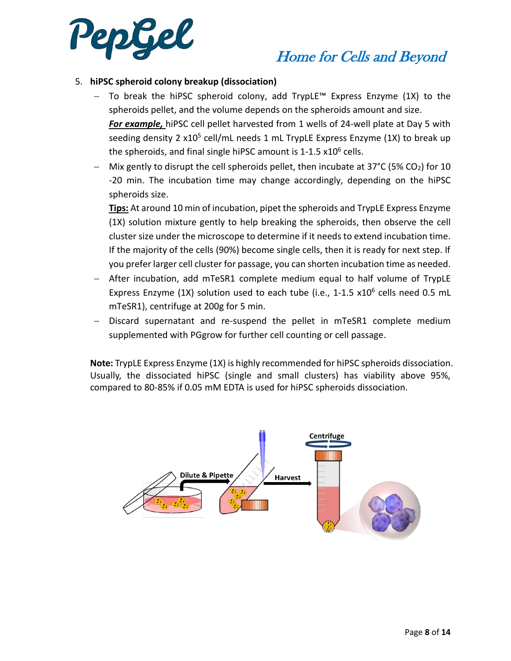

## Home for Cells and Beyond

### 5. **hiPSC spheroid colony breakup (dissociation)**

- − To break the hiPSC spheroid colony, add TrypLE™ Express Enzyme (1X) to the spheroids pellet, and the volume depends on the spheroids amount and size. *For example,* hiPSC cell pellet harvested from 1 wells of 24-well plate at Day 5 with seeding density 2 x10<sup>5</sup> cell/mL needs 1 mL TrypLE Express Enzyme (1X) to break up the spheroids, and final single hiPSC amount is 1-1.5 x10<sup>6</sup> cells.
- Mix gently to disrupt the cell spheroids pellet, then incubate at  $37^{\circ}$ C (5% CO<sub>2</sub>) for 10 -20 min. The incubation time may change accordingly, depending on the hiPSC spheroids size.

**Tips:** At around 10 min of incubation, pipet the spheroids and TrypLE Express Enzyme (1X) solution mixture gently to help breaking the spheroids, then observe the cell cluster size under the microscope to determine if it needs to extend incubation time. If the majority of the cells (90%) become single cells, then it is ready for next step. If you prefer larger cell cluster for passage, you can shorten incubation time as needed.

- − After incubation, add mTeSR1 complete medium equal to half volume of TrypLE Express Enzyme (1X) solution used to each tube (i.e., 1-1.5 x10<sup>6</sup> cells need 0.5 mL mTeSR1), centrifuge at 200g for 5 min.
- Discard supernatant and re-suspend the pellet in mTeSR1 complete medium supplemented with PGgrow for further cell counting or cell passage.

**Note:** TrypLE Express Enzyme (1X) is highly recommended for hiPSC spheroids dissociation. Usually, the dissociated hiPSC (single and small clusters) has viability above 95%, compared to 80-85% if 0.05 mM EDTA is used for hiPSC spheroids dissociation.

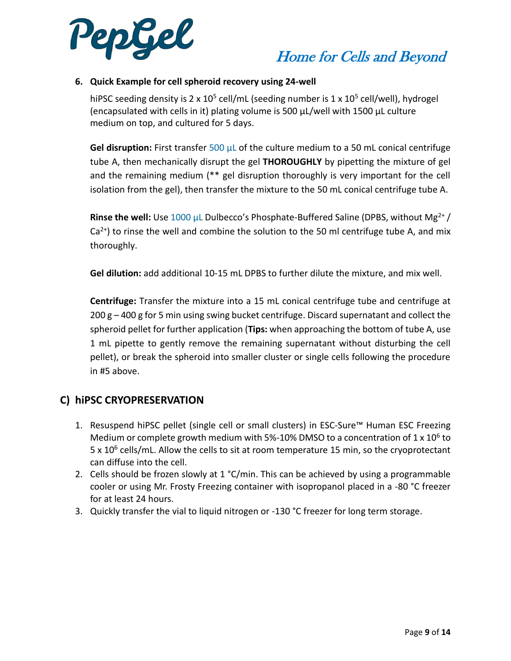

### **6. Quick Example for cell spheroid recovery using 24-well**

hiPSC seeding density is 2 x 10<sup>5</sup> cell/mL (seeding number is 1 x 10<sup>5</sup> cell/well), hydrogel (encapsulated with cells in it) plating volume is 500 μL/well with 1500 μL culture medium on top, and cultured for 5 days.

**Gel disruption:** First transfer 500 μL of the culture medium to a 50 mL conical centrifuge tube A, then mechanically disrupt the gel **THOROUGHLY** by pipetting the mixture of gel and the remaining medium (\*\* gel disruption thoroughly is very important for the cell isolation from the gel), then transfer the mixture to the 50 mL conical centrifuge tube A.

**Rinse the well:** Use 1000 μL Dulbecco's Phosphate-Buffered Saline (DPBS, without Mg<sup>2+</sup>/  $Ca^{2+}$ ) to rinse the well and combine the solution to the 50 ml centrifuge tube A, and mix thoroughly.

**Gel dilution:** add additional 10-15 mL DPBS to further dilute the mixture, and mix well.

**Centrifuge:** Transfer the mixture into a 15 mL conical centrifuge tube and centrifuge at 200 g – 400 g for 5 min using swing bucket centrifuge. Discard supernatant and collect the spheroid pellet for further application (**Tips:** when approaching the bottom of tube A, use 1 mL pipette to gently remove the remaining supernatant without disturbing the cell pellet), or break the spheroid into smaller cluster or single cells following the procedure in #5 above.

### **C) hiPSC CRYOPRESERVATION**

- 1. Resuspend hiPSC pellet (single cell or small clusters) in ESC-Sure™ Human ESC Freezing Medium or complete growth medium with 5%-10% DMSO to a concentration of  $1 \times 10^6$  to 5 x 10<sup>6</sup> cells/mL. Allow the cells to sit at room temperature 15 min, so the cryoprotectant can diffuse into the cell.
- 2. Cells should be frozen slowly at  $1 \degree C/m$ in. This can be achieved by using a programmable cooler or using Mr. Frosty Freezing container with isopropanol placed in a -80 °C freezer for at least 24 hours.
- 3. Quickly transfer the vial to liquid nitrogen or -130 °C freezer for long term storage.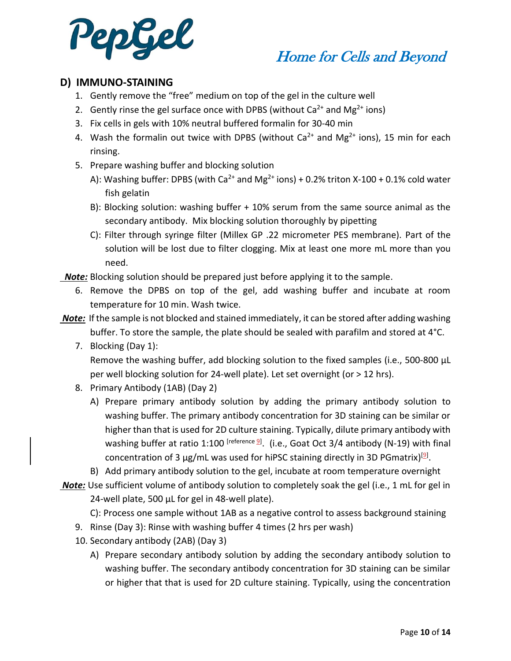

## **D) IMMUNO-STAINING**

- 1. Gently remove the "free" medium on top of the gel in the culture well
- 2. Gently rinse the gel surface once with DPBS (without  $Ca^{2+}$  and Mg<sup>2+</sup> ions)
- 3. Fix cells in gels with 10% neutral buffered formalin for 30-40 min
- 4. Wash the formalin out twice with DPBS (without  $Ca^{2+}$  and Mg<sup>2+</sup> ions), 15 min for each rinsing.
- 5. Prepare washing buffer and blocking solution
	- A): Washing buffer: DPBS (with Ca<sup>2+</sup> and Mg<sup>2+</sup> ions) + 0.2% triton X-100 + 0.1% cold water fish gelatin
	- B): Blocking solution: washing buffer + 10% serum from the same source animal as the secondary antibody. Mix blocking solution thoroughly by pipetting
	- C): Filter through syringe filter (Millex GP .22 micrometer PES membrane). Part of the solution will be lost due to filter clogging. Mix at least one more mL more than you need.

 *Note:* Blocking solution should be prepared just before applying it to the sample.

6. Remove the DPBS on top of the gel, add washing buffer and incubate at room temperature for 10 min. Wash twice.

*Note:* If the sample is not blocked and stained immediately, it can be stored after adding washing buffer. To store the sample, the plate should be sealed with parafilm and stored at  $4^{\circ}$ C.

- 7. Blocking (Day 1): Remove the washing buffer, add blocking solution to the fixed samples (i.e., 500-800 µL per well blocking solution for 24-well plate). Let set overnight (or > 12 hrs).
- 8. Primary Antibody (1AB) (Day 2)
	- A) Prepare primary antibody solution by adding the primary antibody solution to washing buffer. The primary antibody concentration for 3D staining can be similar or higher than that is used for 2D culture staining. Typically, dilute primary antibody with washing buffer at ratio 1:100 <sup>[reference <u>9</u>]. (i.e., Goat Oct 3/4 antibody (N-19) with final</sup> concentration of 3  $\mu$ g/mL was used for hiPSC staining directly in 3D PGmatrix)<sup>[9]</sup>.
	- B) Add primary antibody solution to the gel, incubate at room temperature overnight

**Note:** Use sufficient volume of antibody solution to completely soak the gel (i.e., 1 mL for gel in 24-well plate, 500 µL for gel in 48-well plate).

C): Process one sample without 1AB as a negative control to assess background staining

- 9. Rinse (Day 3): Rinse with washing buffer 4 times (2 hrs per wash)
- 10. Secondary antibody (2AB) (Day 3)
	- A) Prepare secondary antibody solution by adding the secondary antibody solution to washing buffer. The secondary antibody concentration for 3D staining can be similar or higher that that is used for 2D culture staining. Typically, using the concentration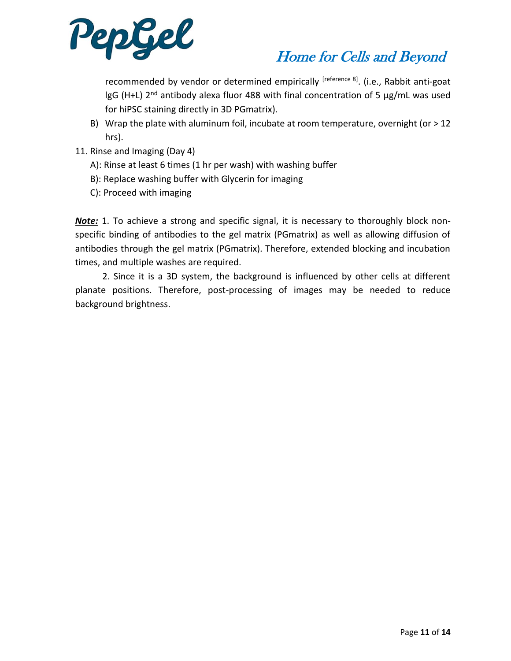

recommended by vendor or determined empirically <sup>[reference 8]</sup>. (i.e., Rabbit anti-goat  $\lg G$  (H+L) 2<sup>nd</sup> antibody alexa fluor 488 with final concentration of 5  $\mu g/mL$  was used for hiPSC staining directly in 3D PGmatrix).

- B) Wrap the plate with aluminum foil, incubate at room temperature, overnight (or  $>12$ hrs).
- 11. Rinse and Imaging (Day 4)
	- A): Rinse at least 6 times (1 hr per wash) with washing buffer
	- B): Replace washing buffer with Glycerin for imaging
	- C): Proceed with imaging

*Note:* 1. To achieve a strong and specific signal, it is necessary to thoroughly block nonspecific binding of antibodies to the gel matrix (PGmatrix) as well as allowing diffusion of antibodies through the gel matrix (PGmatrix). Therefore, extended blocking and incubation times, and multiple washes are required.

 2. Since it is a 3D system, the background is influenced by other cells at different planate positions. Therefore, post-processing of images may be needed to reduce background brightness.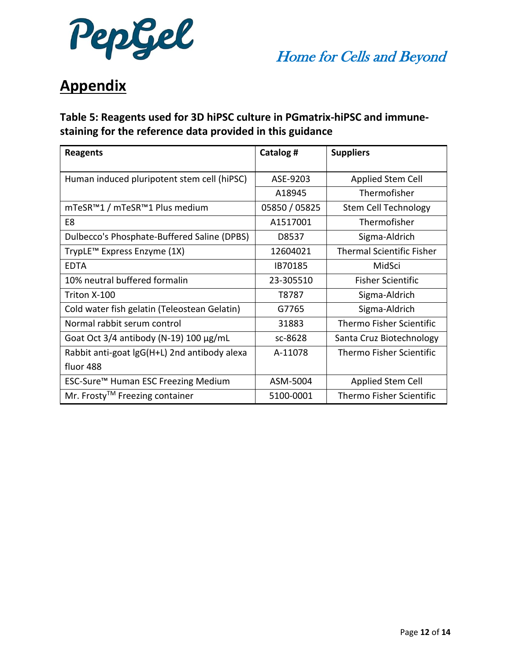

# **Appendix**

## **Table 5: Reagents used for 3D hiPSC culture in PGmatrix-hiPSC and immunestaining for the reference data provided in this guidance**

| <b>Reagents</b>                               | Catalog #     | <b>Suppliers</b>                 |
|-----------------------------------------------|---------------|----------------------------------|
| Human induced pluripotent stem cell (hiPSC)   | ASE-9203      | Applied Stem Cell                |
|                                               | A18945        | Thermofisher                     |
| mTeSR™1 / mTeSR™1 Plus medium                 | 05850 / 05825 | <b>Stem Cell Technology</b>      |
| E8                                            | A1517001      | Thermofisher                     |
| Dulbecco's Phosphate-Buffered Saline (DPBS)   | D8537         | Sigma-Aldrich                    |
| TrypLE <sup>™</sup> Express Enzyme (1X)       | 12604021      | <b>Thermal Scientific Fisher</b> |
| <b>EDTA</b>                                   | IB70185       | MidSci                           |
| 10% neutral buffered formalin                 | 23-305510     | <b>Fisher Scientific</b>         |
| Triton X-100                                  | T8787         | Sigma-Aldrich                    |
| Cold water fish gelatin (Teleostean Gelatin)  | G7765         | Sigma-Aldrich                    |
| Normal rabbit serum control                   | 31883         | <b>Thermo Fisher Scientific</b>  |
| Goat Oct $3/4$ antibody (N-19) 100 $\mu$ g/mL | sc-8628       | Santa Cruz Biotechnology         |
| Rabbit anti-goat lgG(H+L) 2nd antibody alexa  | A-11078       | <b>Thermo Fisher Scientific</b>  |
| fluor 488                                     |               |                                  |
| ESC-Sure™ Human ESC Freezing Medium           | ASM-5004      | Applied Stem Cell                |
| Mr. Frosty™ Freezing container                | 5100-0001     | <b>Thermo Fisher Scientific</b>  |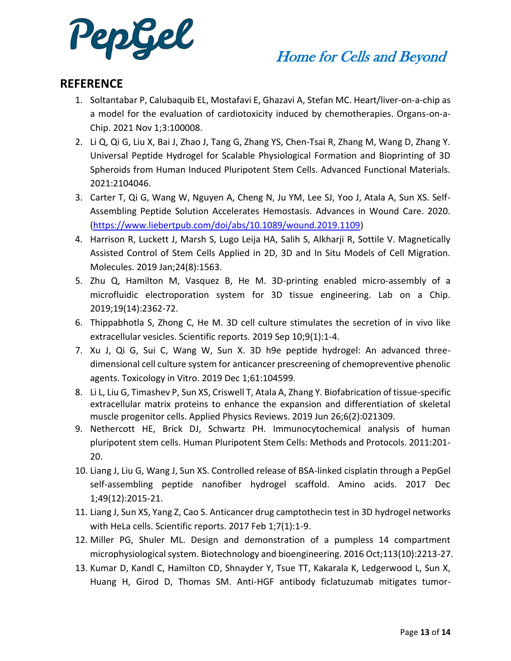

## **REFERENCE**

- 1. Soltantabar P, Calubaquib EL, Mostafavi E, Ghazavi A, Stefan MC. Heart/liver-on-a-chip as a model for the evaluation of cardiotoxicity induced by chemotherapies. Organs-on-a-Chip. 2021 Nov 1;3:100008.
- 2. Li Q, Qi G, Liu X, Bai J, Zhao J, Tang G, Zhang YS, Chen-Tsai R, Zhang M, Wang D, Zhang Y. Universal Peptide Hydrogel for Scalable Physiological Formation and Bioprinting of 3D Spheroids from Human Induced Pluripotent Stem Cells. Advanced Functional Materials. 2021:2104046.
- 3. Carter T, Qi G, Wang W, Nguyen A, Cheng N, Ju YM, Lee SJ, Yoo J, Atala A, Sun XS. Self-Assembling Peptide Solution Accelerates Hemostasis. Advances in Wound Care. 2020. [\(https://www.liebertpub.com/doi/abs/10.1089/wound.2019.1109\)](https://www.liebertpub.com/doi/abs/10.1089/wound.2019.1109)
- 4. Harrison R, Luckett J, Marsh S, Lugo Leija HA, Salih S, Alkharji R, Sottile V. Magnetically Assisted Control of Stem Cells Applied in 2D, 3D and In Situ Models of Cell Migration. Molecules. 2019 Jan;24(8):1563.
- 5. Zhu Q, Hamilton M, Vasquez B, He M. 3D-printing enabled micro-assembly of a microfluidic electroporation system for 3D tissue engineering. Lab on a Chip. 2019;19(14):2362-72.
- 6. Thippabhotla S, Zhong C, He M. 3D cell culture stimulates the secretion of in vivo like extracellular vesicles. Scientific reports. 2019 Sep 10;9(1):1-4.
- 7. Xu J, Qi G, Sui C, Wang W, Sun X. 3D h9e peptide hydrogel: An advanced threedimensional cell culture system for anticancer prescreening of chemopreventive phenolic agents. Toxicology in Vitro. 2019 Dec 1;61:104599.
- 8. Li L, Liu G, Timashev P, Sun XS, Criswell T, Atala A, Zhang Y. Biofabrication of tissue-specific extracellular matrix proteins to enhance the expansion and differentiation of skeletal muscle progenitor cells. Applied Physics Reviews. 2019 Jun 26;6(2):021309.
- 9. Nethercott HE, Brick DJ, Schwartz PH. Immunocytochemical analysis of human pluripotent stem cells. Human Pluripotent Stem Cells: Methods and Protocols. 2011:201- 20.
- 10. Liang J, Liu G, Wang J, Sun XS. Controlled release of BSA-linked cisplatin through a PepGel self-assembling peptide nanofiber hydrogel scaffold. Amino acids. 2017 Dec 1;49(12):2015-21.
- 11. Liang J, Sun XS, Yang Z, Cao S. Anticancer drug camptothecin test in 3D hydrogel networks with HeLa cells. Scientific reports. 2017 Feb 1;7(1):1-9.
- 12. Miller PG, Shuler ML. Design and demonstration of a pumpless 14 compartment microphysiological system. Biotechnology and bioengineering. 2016 Oct;113(10):2213-27.
- 13. Kumar D, Kandl C, Hamilton CD, Shnayder Y, Tsue TT, Kakarala K, Ledgerwood L, Sun X, Huang H, Girod D, Thomas SM. Anti-HGF antibody ficlatuzumab mitigates tumor-